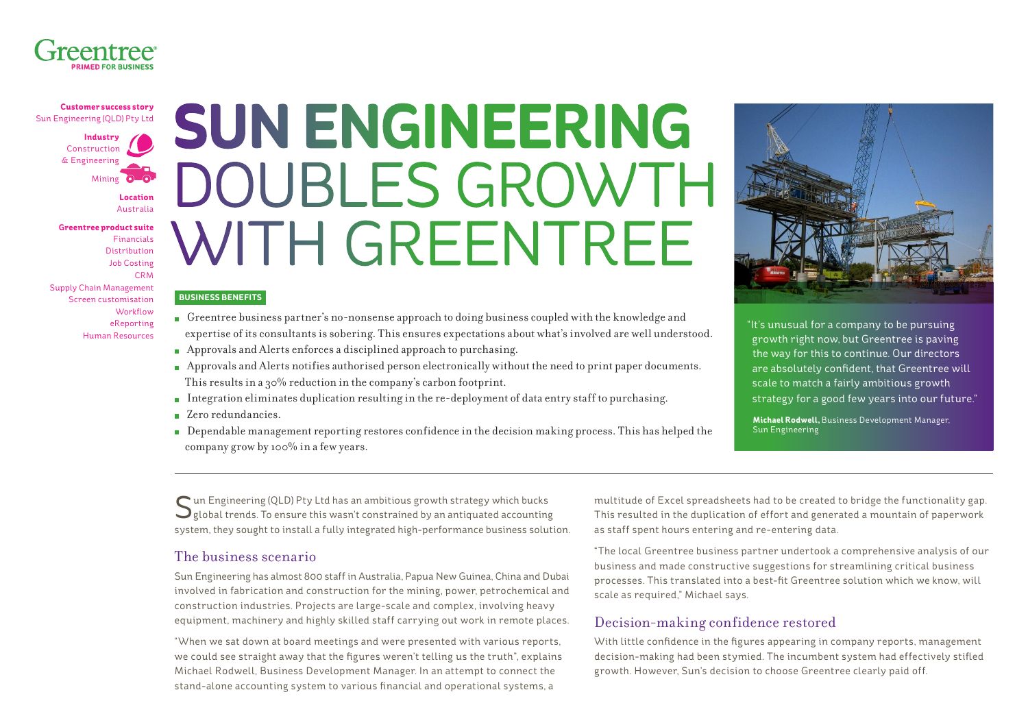

**Customer success story** Sun Engineering (QLD) Pty Ltd

> **Industry** Construction & Engineering Mining

> > **Location** Australia

**Greentree product suite** Financials Distribution Job Costing CRM Supply Chain Management Screen customisation **Workflow** eReporting Human Resources

# **SUN ENGINEERING**  DOUBLES GROWTH WITH GREENTREE

#### **BUSINESS BENEFITS**

- Greentree business partner's no-nonsense approach to doing business coupled with the knowledge and expertise of its consultants is sobering. This ensures expectations about what's involved are well understood.
- Approvals and Alerts enforces a disciplined approach to purchasing.
- Approvals and Alerts notifies authorised person electronically without the need to print paper documents. This results in a 30% reduction in the company's carbon footprint.
- Integration eliminates duplication resulting in the re-deployment of data entry staff to purchasing.
- Zero redundancies.
- Dependable management reporting restores confidence in the decision making process. This has helped the company grow by 100% in a few years.



"It's unusual for a company to be pursuing growth right now, but Greentree is paving the way for this to continue. Our directors are absolutely confident, that Greentree will scale to match a fairly ambitious growth strategy for a good few years into our future."

**Michael Rodwell,** Business Development Manager, Sun Engineering

Sun Engineering (QLD) Pty Ltd has an ambitious growth strategy which bucks<br>Splobal trends. To ensure this wasn't constrained by an antiquated accounting system, they sought to install a fully integrated high-performance business solution.

#### The business scenario

Sun Engineering has almost 800 staff in Australia, Papua New Guinea, China and Dubai involved in fabrication and construction for the mining, power, petrochemical and construction industries. Projects are large-scale and complex, involving heavy equipment, machinery and highly skilled staff carrying out work in remote places.

"When we sat down at board meetings and were presented with various reports, we could see straight away that the figures weren't telling us the truth", explains Michael Rodwell, Business Development Manager. In an attempt to connect the stand-alone accounting system to various financial and operational systems, a

multitude of Excel spreadsheets had to be created to bridge the functionality gap. This resulted in the duplication of effort and generated a mountain of paperwork as staff spent hours entering and re-entering data.

"The local Greentree business partner undertook a comprehensive analysis of our business and made constructive suggestions for streamlining critical business processes. This translated into a best-fit Greentree solution which we know, will scale as required," Michael says.

#### Decision-making confidence restored

With little confidence in the figures appearing in company reports, management decision-making had been stymied. The incumbent system had effectively stifled growth. However, Sun's decision to choose Greentree clearly paid off.